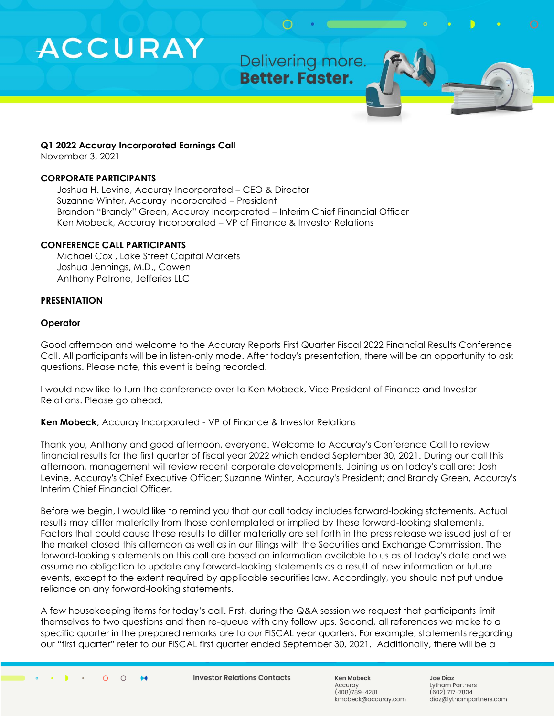Delivering more. Better. Faster.

#### **Q1 2022 Accuray Incorporated Earnings Call**

November 3, 2021

### **CORPORATE PARTICIPANTS**

Joshua H. Levine, Accuray Incorporated – CEO & Director Suzanne Winter, Accuray Incorporated – President Brandon "Brandy" Green, Accuray Incorporated – Interim Chief Financial Officer Ken Mobeck, Accuray Incorporated – VP of Finance & Investor Relations

### **CONFERENCE CALL PARTICIPANTS**

Michael Cox , Lake Street Capital Markets Joshua Jennings, M.D., Cowen Anthony Petrone, Jefferies LLC

### **PRESENTATION**

### **Operator**

Good afternoon and welcome to the Accuray Reports First Quarter Fiscal 2022 Financial Results Conference Call. All participants will be in listen-only mode. After today's presentation, there will be an opportunity to ask questions. Please note, this event is being recorded.

I would now like to turn the conference over to Ken Mobeck, Vice President of Finance and Investor Relations. Please go ahead.

**Ken Mobeck**, Accuray Incorporated - VP of Finance & Investor Relations

Thank you, Anthony and good afternoon, everyone. Welcome to Accuray's Conference Call to review financial results for the first quarter of fiscal year 2022 which ended September 30, 2021. During our call this afternoon, management will review recent corporate developments. Joining us on today's call are: Josh Levine, Accuray's Chief Executive Officer; Suzanne Winter, Accuray's President; and Brandy Green, Accuray's Interim Chief Financial Officer.

Before we begin, I would like to remind you that our call today includes forward-looking statements. Actual results may differ materially from those contemplated or implied by these forward-looking statements. Factors that could cause these results to differ materially are set forth in the press release we issued just after the market closed this afternoon as well as in our filings with the Securities and Exchange Commission. The forward-looking statements on this call are based on information available to us as of today's date and we assume no obligation to update any forward-looking statements as a result of new information or future events, except to the extent required by applicable securities law. Accordingly, you should not put undue reliance on any forward-looking statements.

A few housekeeping items for today's call. First, during the Q&A session we request that participants limit themselves to two questions and then re-queue with any follow ups. Second, all references we make to a specific quarter in the prepared remarks are to our FISCAL year quarters. For example, statements regarding our "first quarter" refer to our FISCAL first quarter ended September 30, 2021. Additionally, there will be a

 $\circ$  $\circ$   $\bullet\bullet$ 

**Investor Relations Contacts** 

Ken Mobeck Accurav  $(408)789 - 4281$ kmobeck@accuray.com **Joe Diaz** Lytham Partners  $(602)$  717-7804 diaz@lythampartners.com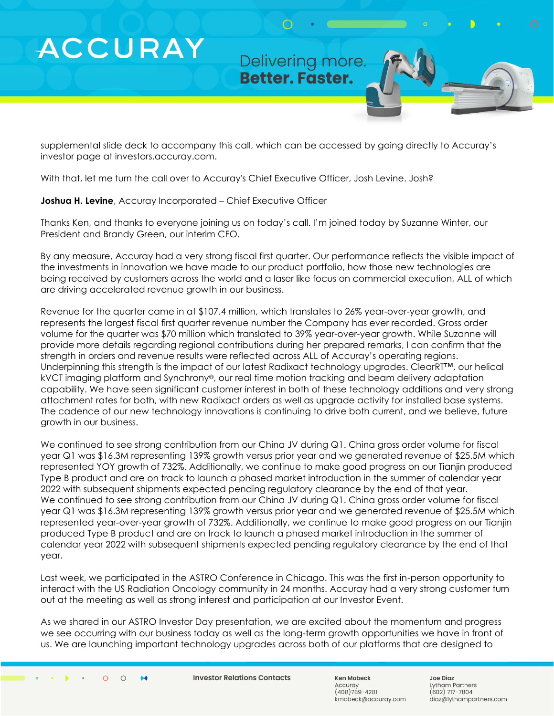Delivering more. **Better. Faster.** 

supplemental slide deck to accompany this call, which can be accessed by going directly to Accuray's investor page at investors.accuray.com.

With that, let me turn the call over to Accuray's Chief Executive Officer, Josh Levine. Josh?

**Joshua H. Levine**, Accuray Incorporated – Chief Executive Officer

Thanks Ken, and thanks to everyone joining us on today's call. I'm joined today by Suzanne Winter, our President and Brandy Green, our interim CFO.

By any measure, Accuray had a very strong fiscal first quarter. Our performance reflects the visible impact of the investments in innovation we have made to our product portfolio, how those new technologies are being received by customers across the world and a laser like focus on commercial execution, ALL of which are driving accelerated revenue growth in our business.

Revenue for the quarter came in at \$107.4 million, which translates to 26% year-over-year growth, and represents the largest fiscal first quarter revenue number the Company has ever recorded. Gross order volume for the quarter was \$70 million which translated to 39% year-over-year growth. While Suzanne will provide more details regarding regional contributions during her prepared remarks, I can confirm that the strength in orders and revenue results were reflected across ALL of Accuray's operating regions. Underpinning this strength is the impact of our latest Radixact technology upgrades. ClearRT™, our helical kVCT imaging platform and Synchrony®, our real time motion tracking and beam delivery adaptation capability. We have seen significant customer interest in both of these technology additions and very strong attachment rates for both, with new Radixact orders as well as upgrade activity for installed base systems. The cadence of our new technology innovations is continuing to drive both current, and we believe, future growth in our business.

We continued to see strong contribution from our China JV during Q1. China gross order volume for fiscal year Q1 was \$16.3M representing 139% growth versus prior year and we generated revenue of \$25.5M which represented YOY growth of 732%. Additionally, we continue to make good progress on our Tianjin produced Type B product and are on track to launch a phased market introduction in the summer of calendar year 2022 with subsequent shipments expected pending regulatory clearance by the end of that year. We continued to see strong contribution from our China JV during Q1. China gross order volume for fiscal year Q1 was \$16.3M representing 139% growth versus prior year and we generated revenue of \$25.5M which represented year-over-year growth of 732%. Additionally, we continue to make good progress on our Tianjin produced Type B product and are on track to launch a phased market introduction in the summer of calendar year 2022 with subsequent shipments expected pending regulatory clearance by the end of that year.

Last week, we participated in the ASTRO Conference in Chicago. This was the first in-person opportunity to interact with the US Radiation Oncology community in 24 months. Accuray had a very strong customer turn out at the meeting as well as strong interest and participation at our Investor Event.

As we shared in our ASTRO Investor Day presentation, we are excited about the momentum and progress we see occurring with our business today as well as the long-term growth opportunities we have in front of us. We are launching important technology upgrades across both of our platforms that are designed to

 $\circ$  $\circ$  64

**Investor Relations Contacts** 

Ken Mobeck Accurav  $(408)789 - 4281$ kmobeck@accuray.com Joe Diaz Lytham Partners  $(602)$  717-7804 diaz@lythampartners.com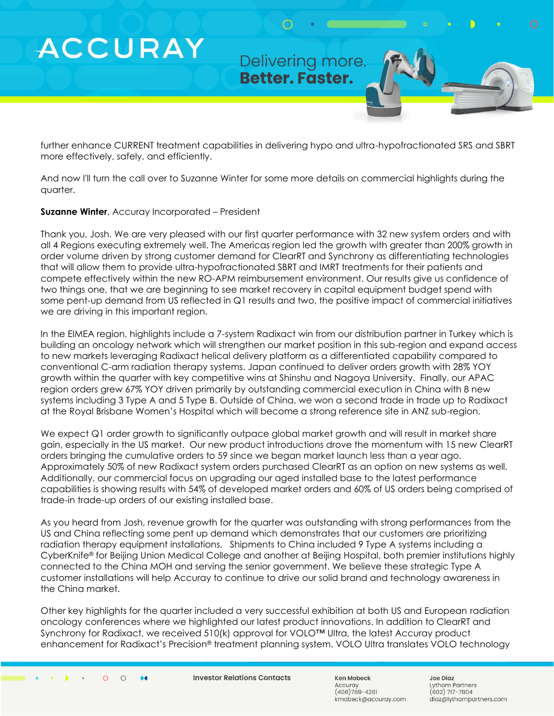Delivering more. Better. Faster.

further enhance CURRENT treatment capabilities in delivering hypo and ultra-hypofractionated SRS and SBRT more effectively, safely, and efficiently.

And now I'll turn the call over to Suzanne Winter for some more details on commercial highlights during the quarter.

## **Suzanne Winter**, Accuray Incorporated – President

Thank you, Josh. We are very pleased with our first quarter performance with 32 new system orders and with all 4 Regions executing extremely well. The Americas region led the growth with greater than 200% growth in order volume driven by strong customer demand for ClearRT and Synchrony as differentiating technologies that will allow them to provide ultra-hypofractionated SBRT and IMRT treatments for their patients and compete effectively within the new RO-APM reimbursement environment. Our results give us confidence of two things one, that we are beginning to see market recovery in capital equipment budget spend with some pent-up demand from US reflected in Q1 results and two, the positive impact of commercial initiatives we are driving in this important region.

In the EIMEA region, highlights include a 7-system Radixact win from our distribution partner in Turkey which is building an oncology network which will strengthen our market position in this sub-region and expand access to new markets leveraging Radixact helical delivery platform as a differentiated capability compared to conventional C-arm radiation therapy systems. Japan continued to deliver orders growth with 28% YOY growth within the quarter with key competitive wins at Shinshu and Nagoya University. Finally, our APAC region orders grew 67% YOY driven primarily by outstanding commercial execution in China with 8 new systems including 3 Type A and 5 Type B. Outside of China, we won a second trade in trade up to Radixact at the Royal Brisbane Women's Hospital which will become a strong reference site in ANZ sub-region.

We expect Q1 order growth to significantly outpace global market growth and will result in market share gain, especially in the US market. Our new product introductions drove the momentum with 15 new ClearRT orders bringing the cumulative orders to 59 since we began market launch less than a year ago. Approximately 50% of new Radixact system orders purchased ClearRT as an option on new systems as well. Additionally, our commercial focus on upgrading our aged installed base to the latest performance capabilities is showing results with 54% of developed market orders and 60% of US orders being comprised of trade-in trade-up orders of our existing installed base.

As you heard from Josh, revenue growth for the quarter was outstanding with strong performances from the US and China reflecting some pent up demand which demonstrates that our customers are prioritizing radiation therapy equipment installations. Shipments to China included 9 Type A systems including a CyberKnife® for Beijing Union Medical College and another at Beijing Hospital, both premier institutions highly connected to the China MOH and serving the senior government. We believe these strategic Type A customer installations will help Accuray to continue to drive our solid brand and technology awareness in the China market.

Other key highlights for the quarter included a very successful exhibition at both US and European radiation oncology conferences where we highlighted our latest product innovations. In addition to ClearRT and Synchrony for Radixact, we received 510(k) approval for VOLO™ Ultra, the latest Accuray product enhancement for Radixact's Precision® treatment planning system. VOLO Ultra translates VOLO technology

 $\circ$  $\circ$   $\bullet\bullet$ 

**Investor Relations Contacts** 

Ken Mobeck Accurav  $(408)789 - 4281$ kmobeck@accuray.com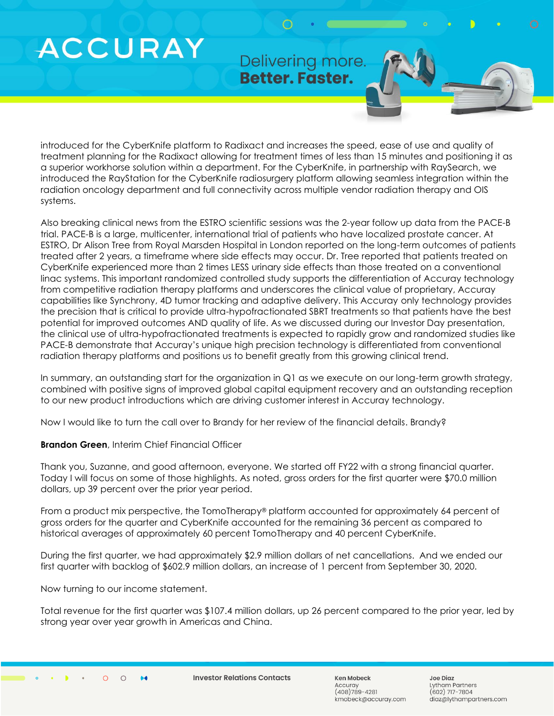Delivering more. **Better. Faster.** 

introduced for the CyberKnife platform to Radixact and increases the speed, ease of use and quality of treatment planning for the Radixact allowing for treatment times of less than 15 minutes and positioning it as a superior workhorse solution within a department. For the CyberKnife, in partnership with RaySearch, we introduced the RayStation for the CyberKnife radiosurgery platform allowing seamless integration within the radiation oncology department and full connectivity across multiple vendor radiation therapy and OIS systems.

Also breaking clinical news from the ESTRO scientific sessions was the 2-year follow up data from the PACE-B trial. PACE-B is a large, multicenter, international trial of patients who have localized prostate cancer. At ESTRO, Dr Alison Tree from Royal Marsden Hospital in London reported on the long-term outcomes of patients treated after 2 years, a timeframe where side effects may occur. Dr. Tree reported that patients treated on CyberKnife experienced more than 2 times LESS urinary side effects than those treated on a conventional linac systems. This important randomized controlled study supports the differentiation of Accuray technology from competitive radiation therapy platforms and underscores the clinical value of proprietary, Accuray capabilities like Synchrony, 4D tumor tracking and adaptive delivery. This Accuray only technology provides the precision that is critical to provide ultra-hypofractionated SBRT treatments so that patients have the best potential for improved outcomes AND quality of life. As we discussed during our Investor Day presentation, the clinical use of ultra-hypofractionated treatments is expected to rapidly grow and randomized studies like PACE-B demonstrate that Accuray's unique high precision technology is differentiated from conventional radiation therapy platforms and positions us to benefit greatly from this growing clinical trend.

In summary, an outstanding start for the organization in Q1 as we execute on our long-term growth strategy, combined with positive signs of improved global capital equipment recovery and an outstanding reception to our new product introductions which are driving customer interest in Accuray technology.

Now I would like to turn the call over to Brandy for her review of the financial details. Brandy?

## **Brandon Green**, Interim Chief Financial Officer

Thank you, Suzanne, and good afternoon, everyone. We started off FY22 with a strong financial quarter. Today I will focus on some of those highlights. As noted, gross orders for the first quarter were \$70.0 million dollars, up 39 percent over the prior year period.

From a product mix perspective, the TomoTherapy® platform accounted for approximately 64 percent of gross orders for the quarter and CyberKnife accounted for the remaining 36 percent as compared to historical averages of approximately 60 percent TomoTherapy and 40 percent CyberKnife.

During the first quarter, we had approximately \$2.9 million dollars of net cancellations. And we ended our first quarter with backlog of \$602.9 million dollars, an increase of 1 percent from September 30, 2020.

Now turning to our income statement.

Total revenue for the first quarter was \$107.4 million dollars, up 26 percent compared to the prior year, led by strong year over year growth in Americas and China.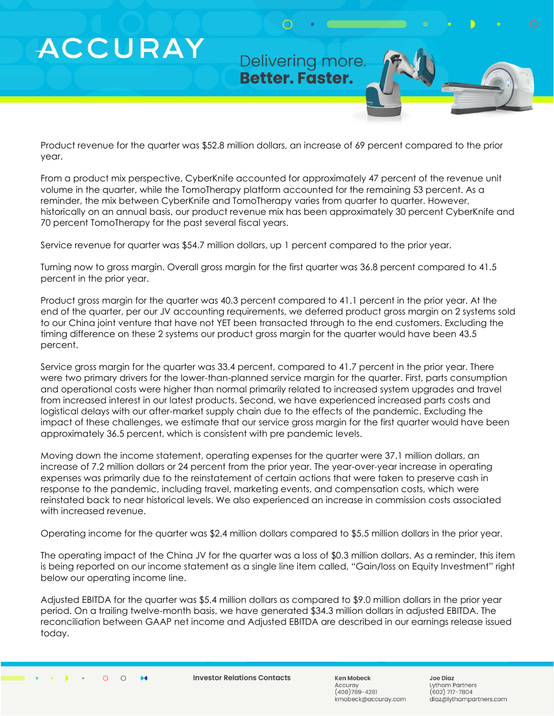Delivering more. **Better. Faster.** 

Product revenue for the quarter was \$52.8 million dollars, an increase of 69 percent compared to the prior year.

From a product mix perspective, CyberKnife accounted for approximately 47 percent of the revenue unit volume in the quarter, while the TomoTherapy platform accounted for the remaining 53 percent. As a reminder, the mix between CyberKnife and TomoTherapy varies from quarter to quarter. However, historically on an annual basis, our product revenue mix has been approximately 30 percent CyberKnife and 70 percent TomoTherapy for the past several fiscal years.

Service revenue for quarter was \$54.7 million dollars, up 1 percent compared to the prior year.

Turning now to gross margin. Overall gross margin for the first quarter was 36.8 percent compared to 41.5 percent in the prior year.

Product gross margin for the quarter was 40.3 percent compared to 41.1 percent in the prior year. At the end of the quarter, per our JV accounting requirements, we deferred product gross margin on 2 systems sold to our China joint venture that have not YET been transacted through to the end customers. Excluding the timing difference on these 2 systems our product gross margin for the quarter would have been 43.5 percent.

Service gross margin for the quarter was 33.4 percent, compared to 41.7 percent in the prior year. There were two primary drivers for the lower-than-planned service margin for the quarter. First, parts consumption and operational costs were higher than normal primarily related to increased system upgrades and travel from increased interest in our latest products. Second, we have experienced increased parts costs and logistical delays with our after-market supply chain due to the effects of the pandemic. Excluding the impact of these challenges, we estimate that our service gross margin for the first quarter would have been approximately 36.5 percent, which is consistent with pre pandemic levels.

Moving down the income statement, operating expenses for the quarter were 37.1 million dollars, an increase of 7.2 million dollars or 24 percent from the prior year. The year-over-year increase in operating expenses was primarily due to the reinstatement of certain actions that were taken to preserve cash in response to the pandemic, including travel, marketing events, and compensation costs, which were reinstated back to near historical levels. We also experienced an increase in commission costs associated with increased revenue.

Operating income for the quarter was \$2.4 million dollars compared to \$5.5 million dollars in the prior year.

The operating impact of the China JV for the quarter was a loss of \$0.3 million dollars. As a reminder, this item is being reported on our income statement as a single line item called, "Gain/loss on Equity Investment" right below our operating income line.

Adjusted EBITDA for the quarter was \$5.4 million dollars as compared to \$9.0 million dollars in the prior year period. On a trailing twelve-month basis, we have generated \$34.3 million dollars in adjusted EBITDA. The reconciliation between GAAP net income and Adjusted EBITDA are described in our earnings release issued today.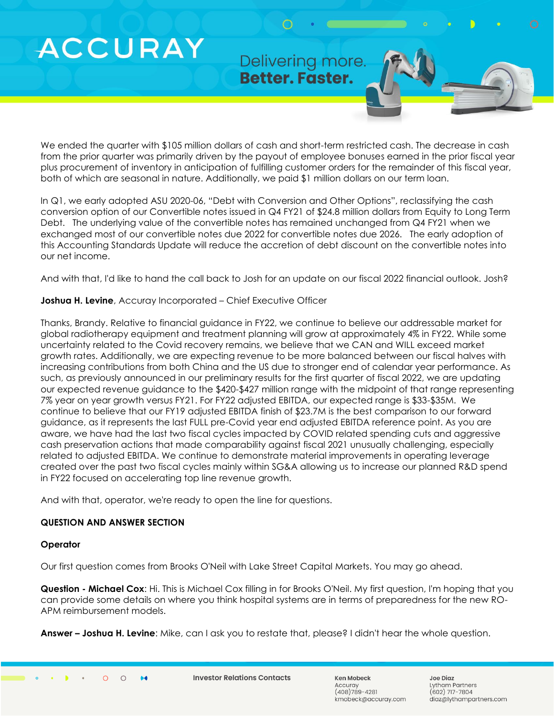Delivering more. **Better. Faster.** 

We ended the quarter with \$105 million dollars of cash and short-term restricted cash. The decrease in cash from the prior quarter was primarily driven by the payout of employee bonuses earned in the prior fiscal year plus procurement of inventory in anticipation of fulfilling customer orders for the remainder of this fiscal year, both of which are seasonal in nature. Additionally, we paid \$1 million dollars on our term loan.

In Q1, we early adopted ASU 2020-06, "Debt with Conversion and Other Options", reclassifying the cash conversion option of our Convertible notes issued in Q4 FY21 of \$24.8 million dollars from Equity to Long Term Debt. The underlying value of the convertible notes has remained unchanged from Q4 FY21 when we exchanged most of our convertible notes due 2022 for convertible notes due 2026. The early adoption of this Accounting Standards Update will reduce the accretion of debt discount on the convertible notes into our net income.

And with that, I'd like to hand the call back to Josh for an update on our fiscal 2022 financial outlook. Josh?

# **Joshua H. Levine**, Accuray Incorporated – Chief Executive Officer

Thanks, Brandy. Relative to financial guidance in FY22, we continue to believe our addressable market for global radiotherapy equipment and treatment planning will grow at approximately 4% in FY22. While some uncertainty related to the Covid recovery remains, we believe that we CAN and WILL exceed market growth rates. Additionally, we are expecting revenue to be more balanced between our fiscal halves with increasing contributions from both China and the US due to stronger end of calendar year performance. As such, as previously announced in our preliminary results for the first quarter of fiscal 2022, we are updating our expected revenue guidance to the \$420-\$427 million range with the midpoint of that range representing 7% year on year growth versus FY21. For FY22 adjusted EBITDA, our expected range is \$33-\$35M. We continue to believe that our FY19 adjusted EBITDA finish of \$23.7M is the best comparison to our forward guidance, as it represents the last FULL pre-Covid year end adjusted EBITDA reference point. As you are aware, we have had the last two fiscal cycles impacted by COVID related spending cuts and aggressive cash preservation actions that made comparability against fiscal 2021 unusually challenging, especially related to adjusted EBITDA. We continue to demonstrate material improvements in operating leverage created over the past two fiscal cycles mainly within SG&A allowing us to increase our planned R&D spend in FY22 focused on accelerating top line revenue growth.

And with that, operator, we're ready to open the line for questions.

# **QUESTION AND ANSWER SECTION**

## **Operator**

Our first question comes from Brooks O'Neil with Lake Street Capital Markets. You may go ahead.

**Question - Michael Cox**: Hi. This is Michael Cox filling in for Brooks O'Neil. My first question, I'm hoping that you can provide some details on where you think hospital systems are in terms of preparedness for the new RO-APM reimbursement models.

**Answer – Joshua H. Levine**: Mike, can I ask you to restate that, please? I didn't hear the whole question.

**Investor Relations Contacts** 

Ken Mobeck Accurav  $(408)789 - 4281$ kmobeck@accuray.com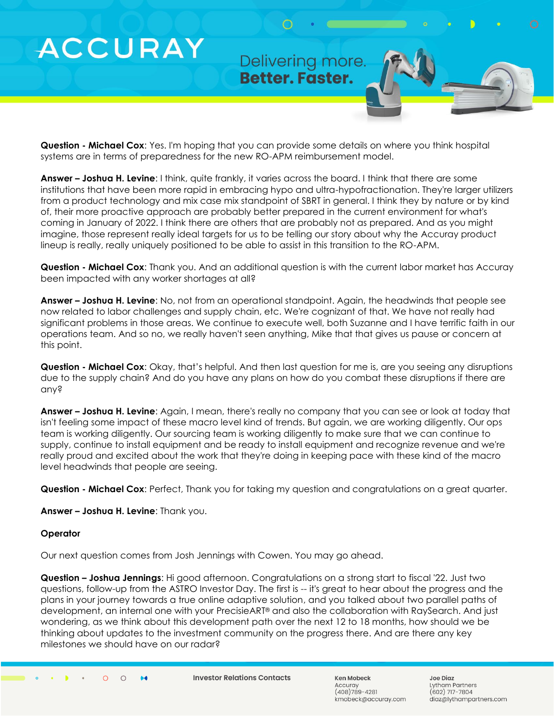Delivering more. **Better. Faster.** 

**Question - Michael Cox**: Yes. I'm hoping that you can provide some details on where you think hospital systems are in terms of preparedness for the new RO-APM reimbursement model.

**Answer – Joshua H. Levine**: I think, quite frankly, it varies across the board. I think that there are some institutions that have been more rapid in embracing hypo and ultra-hypofractionation. They're larger utilizers from a product technology and mix case mix standpoint of SBRT in general. I think they by nature or by kind of, their more proactive approach are probably better prepared in the current environment for what's coming in January of 2022. I think there are others that are probably not as prepared. And as you might imagine, those represent really ideal targets for us to be telling our story about why the Accuray product lineup is really, really uniquely positioned to be able to assist in this transition to the RO-APM.

**Question - Michael Cox**: Thank you. And an additional question is with the current labor market has Accuray been impacted with any worker shortages at all?

**Answer – Joshua H. Levine**: No, not from an operational standpoint. Again, the headwinds that people see now related to labor challenges and supply chain, etc. We're cognizant of that. We have not really had significant problems in those areas. We continue to execute well, both Suzanne and I have terrific faith in our operations team. And so no, we really haven't seen anything, Mike that that gives us pause or concern at this point.

**Question - Michael Cox**: Okay, that's helpful. And then last question for me is, are you seeing any disruptions due to the supply chain? And do you have any plans on how do you combat these disruptions if there are any?

**Answer – Joshua H. Levine**: Again, I mean, there's really no company that you can see or look at today that isn't feeling some impact of these macro level kind of trends. But again, we are working diligently. Our ops team is working diligently. Our sourcing team is working diligently to make sure that we can continue to supply, continue to install equipment and be ready to install equipment and recognize revenue and we're really proud and excited about the work that they're doing in keeping pace with these kind of the macro level headwinds that people are seeing.

**Question - Michael Cox**: Perfect, Thank you for taking my question and congratulations on a great quarter.

**Answer – Joshua H. Levine**: Thank you.

#### **Operator**

Our next question comes from Josh Jennings with Cowen. You may go ahead.

**Question – Joshua Jennings**: Hi good afternoon. Congratulations on a strong start to fiscal '22. Just two questions, follow-up from the ASTRO Investor Day. The first is -- it's great to hear about the progress and the plans in your journey towards a true online adaptive solution, and you talked about two parallel paths of development, an internal one with your PrecisieART® and also the collaboration with RaySearch. And just wondering, as we think about this development path over the next 12 to 18 months, how should we be thinking about updates to the investment community on the progress there. And are there any key milestones we should have on our radar?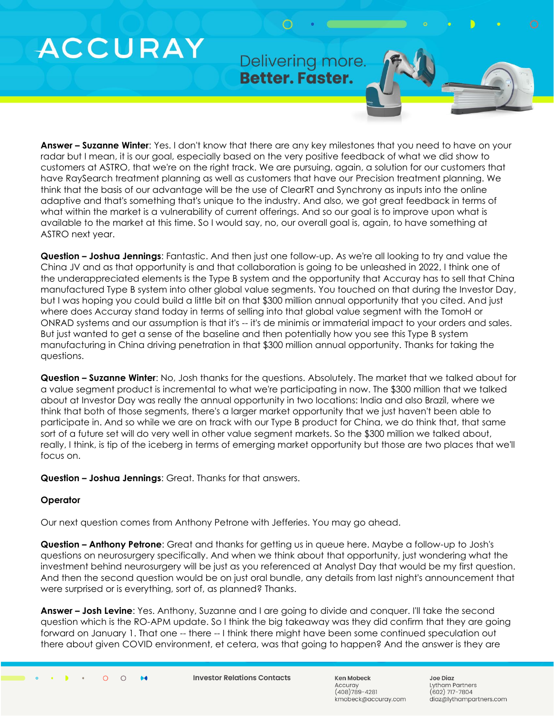Delivering more. Better. Faster.

**Answer – Suzanne Winter**: Yes. I don't know that there are any key milestones that you need to have on your radar but I mean, it is our goal, especially based on the very positive feedback of what we did show to customers at ASTRO, that we're on the right track. We are pursuing, again, a solution for our customers that have RaySearch treatment planning as well as customers that have our Precision treatment planning. We think that the basis of our advantage will be the use of ClearRT and Synchrony as inputs into the online adaptive and that's something that's unique to the industry. And also, we got great feedback in terms of what within the market is a vulnerability of current offerings. And so our goal is to improve upon what is available to the market at this time. So I would say, no, our overall goal is, again, to have something at ASTRO next year.

**Question – Joshua Jennings**: Fantastic. And then just one follow-up. As we're all looking to try and value the China JV and as that opportunity is and that collaboration is going to be unleashed in 2022, I think one of the underappreciated elements is the Type B system and the opportunity that Accuray has to sell that China manufactured Type B system into other global value segments. You touched on that during the Investor Day, but I was hoping you could build a little bit on that \$300 million annual opportunity that you cited. And just where does Accuray stand today in terms of selling into that global value segment with the TomoH or ONRAD systems and our assumption is that it's -- it's de minimis or immaterial impact to your orders and sales. But just wanted to get a sense of the baseline and then potentially how you see this Type B system manufacturing in China driving penetration in that \$300 million annual opportunity. Thanks for taking the questions.

**Question – Suzanne Winter**: No, Josh thanks for the questions. Absolutely. The market that we talked about for a value segment product is incremental to what we're participating in now. The \$300 million that we talked about at Investor Day was really the annual opportunity in two locations: India and also Brazil, where we think that both of those segments, there's a larger market opportunity that we just haven't been able to participate in. And so while we are on track with our Type B product for China, we do think that, that same sort of a future set will do very well in other value segment markets. So the \$300 million we talked about, really, I think, is tip of the iceberg in terms of emerging market opportunity but those are two places that we'll focus on.

**Question – Joshua Jennings**: Great. Thanks for that answers.

# **Operator**

Our next question comes from Anthony Petrone with Jefferies. You may go ahead.

**Question – Anthony Petrone**: Great and thanks for getting us in queue here. Maybe a follow-up to Josh's questions on neurosurgery specifically. And when we think about that opportunity, just wondering what the investment behind neurosurgery will be just as you referenced at Analyst Day that would be my first question. And then the second question would be on just oral bundle, any details from last night's announcement that were surprised or is everything, sort of, as planned? Thanks.

**Answer – Josh Levine**: Yes. Anthony, Suzanne and I are going to divide and conquer. I'll take the second question which is the RO-APM update. So I think the big takeaway was they did confirm that they are going forward on January 1. That one -- there -- I think there might have been some continued speculation out there about given COVID environment, et cetera, was that going to happen? And the answer is they are

 $\bullet\bullet$ 

**Investor Relations Contacts** 

Ken Mobeck Accurav  $(408)789 - 4281$ kmobeck@accuray.com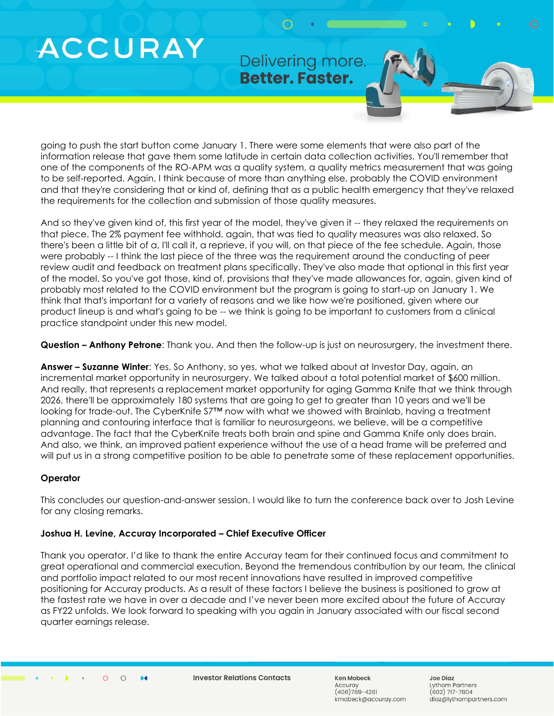Delivering more. Better. Faster.

going to push the start button come January 1. There were some elements that were also part of the information release that gave them some latitude in certain data collection activities. You'll remember that one of the components of the RO-APM was a quality system, a quality metrics measurement that was going to be self-reported. Again, I think because of more than anything else, probably the COVID environment and that they're considering that or kind of, defining that as a public health emergency that they've relaxed the requirements for the collection and submission of those quality measures.

And so they've given kind of, this first year of the model, they've given it -- they relaxed the requirements on that piece. The 2% payment fee withhold, again, that was tied to quality measures was also relaxed. So there's been a little bit of a, I'll call it, a reprieve, if you will, on that piece of the fee schedule. Again, those were probably -- I think the last piece of the three was the requirement around the conducting of peer review audit and feedback on treatment plans specifically. They've also made that optional in this first year of the model. So you've got those, kind of, provisions that they've made allowances for, again, given kind of probably most related to the COVID environment but the program is going to start-up on January 1. We think that that's important for a variety of reasons and we like how we're positioned, given where our product lineup is and what's going to be -- we think is going to be important to customers from a clinical practice standpoint under this new model.

**Question – Anthony Petrone**: Thank you. And then the follow-up is just on neurosurgery, the investment there.

**Answer – Suzanne Winter**: Yes. So Anthony, so yes, what we talked about at Investor Day, again, an incremental market opportunity in neurosurgery. We talked about a total potential market of \$600 million. And really, that represents a replacement market opportunity for aging Gamma Knife that we think through 2026, there'll be approximately 180 systems that are going to get to greater than 10 years and we'll be looking for trade-out. The CyberKnife S7™ now with what we showed with Brainlab, having a treatment planning and contouring interface that is familiar to neurosurgeons, we believe, will be a competitive advantage. The fact that the CyberKnife treats both brain and spine and Gamma Knife only does brain. And also, we think, an improved patient experience without the use of a head frame will be preferred and will put us in a strong competitive position to be able to penetrate some of these replacement opportunities.

## **Operator**

This concludes our question-and-answer session. I would like to turn the conference back over to Josh Levine for any closing remarks.

## **Joshua H. Levine, Accuray Incorporated – Chief Executive Officer**

Thank you operator. I'd like to thank the entire Accuray team for their continued focus and commitment to great operational and commercial execution. Beyond the tremendous contribution by our team, the clinical and portfolio impact related to our most recent innovations have resulted in improved competitive positioning for Accuray products. As a result of these factors I believe the business is positioned to grow at the fastest rate we have in over a decade and I've never been more excited about the future of Accuray as FY22 unfolds. We look forward to speaking with you again in January associated with our fiscal second quarter earnings release.